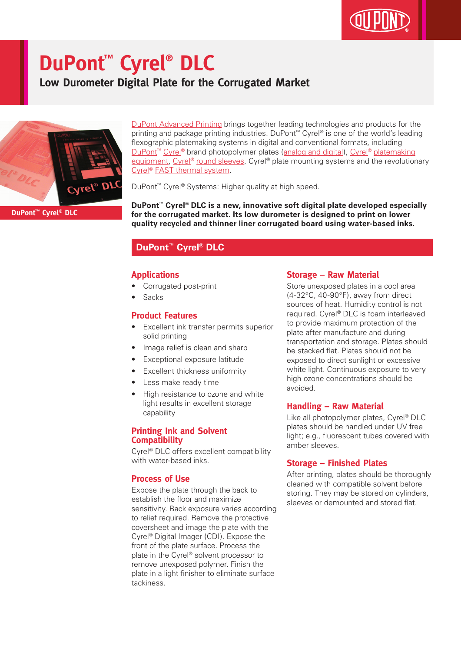# **DuPont™ Cyrel® DLC**

**Low Durometer Digital Plate for the Corrugated Market**



DuPont Advanced Printing brings together leading technologies and products for the printing and package printing industries. DuPont™ Cyrel® is one of the world's leading flexographic platemaking systems in digital and conventional formats, including DuPont<sup>™</sup> Cyrel<sup>®</sup> brand photopolymer plates (analog and digital), Cyrel<sup>®</sup> platemaking equipment, Cyrel® round sleeves, Cyrel® plate mounting systems and the revolutionary Cyrel® FAST thermal system.

DuPont™ Cyrel® Systems: Higher quality at high speed.

**DuPont™ Cyrel® DLC is a new, innovative soft digital plate developed especially for the corrugated market. Its low durometer is designed to print on lower quality recycled and thinner liner corrugated board using water-based inks.**

### **DuPont™ Cyrel® DLC**

#### **Applications**

- Corrugated post-print
- **Sacks**

#### **Product Features**

- Excellent ink transfer permits superior solid printing
- Image relief is clean and sharp
- Exceptional exposure latitude
- Excellent thickness uniformity
- Less make ready time
- High resistance to ozone and white light results in excellent storage capability

#### **Printing Ink and Solvent Compatibility**

Cyrel® DLC offers excellent compatibility with water-based inks.

#### **Process of Use**

Expose the plate through the back to establish the floor and maximize sensitivity. Back exposure varies according to relief required. Remove the protective coversheet and image the plate with the Cyrel® Digital Imager (CDI). Expose the front of the plate surface. Process the plate in the Cyrel® solvent processor to remove unexposed polymer. Finish the plate in a light finisher to eliminate surface tackiness.

#### **Storage – Raw Material**

Store unexposed plates in a cool area (4-32°C, 40-90°F), away from direct sources of heat. Humidity control is not required. Cyrel® DLC is foam interleaved to provide maximum protection of the plate after manufacture and during transportation and storage. Plates should be stacked flat. Plates should not be exposed to direct sunlight or excessive white light. Continuous exposure to very high ozone concentrations should be avoided.

#### **Handling – Raw Material**

Like all photopolymer plates, Cyrel® DLC plates should be handled under UV free light; e.g., fluorescent tubes covered with amber sleeves.

#### **Storage – Finished Plates**

After printing, plates should be thoroughly cleaned with compatible solvent before storing. They may be stored on cylinders, sleeves or demounted and stored flat.